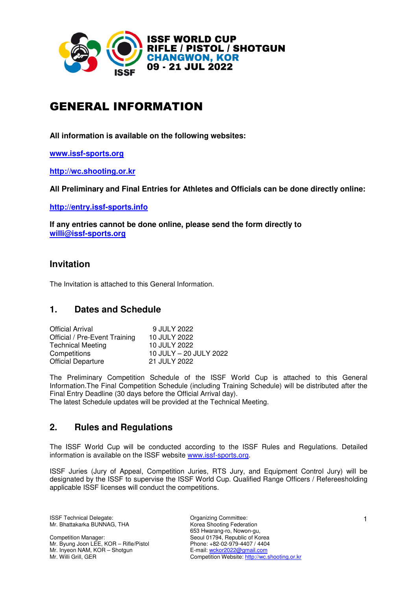

# GENERAL INFORMATION

**All information is available on the following websites:** 

**www.issf-sports.org**

**http://wc.shooting.or.kr**

**All Preliminary and Final Entries for Athletes and Officials can be done directly online:** 

**http://entry.issf-sports.info** 

**If any entries cannot be done online, please send the form directly to willi@issf-sports.org** 

# **Invitation**

The Invitation is attached to this General Information.

# **1. Dates and Schedule**

| <b>Official Arrival</b>       | 9 JULY 2022            |
|-------------------------------|------------------------|
| Official / Pre-Event Training | 10 JULY 2022           |
| <b>Technical Meeting</b>      | 10 JULY 2022           |
| Competitions                  | 10 JULY - 20 JULY 2022 |
| <b>Official Departure</b>     | 21 JULY 2022           |

The Preliminary Competition Schedule of the ISSF World Cup is attached to this General Information.The Final Competition Schedule (including Training Schedule) will be distributed after the Final Entry Deadline (30 days before the Official Arrival day).

The latest Schedule updates will be provided at the Technical Meeting.

# **2. Rules and Regulations**

The ISSF World Cup will be conducted according to the ISSF Rules and Regulations. Detailed information is available on the ISSF website www.issf-sports.org.

ISSF Juries (Jury of Appeal, Competition Juries, RTS Jury, and Equipment Control Jury) will be designated by the ISSF to supervise the ISSF World Cup. Qualified Range Officers / Refereesholding applicable ISSF licenses will conduct the competitions.

ISSF Technical Delegate: Organizing Committee: Mr. Bhattakarka BUNNAG, THA

Competition Manager: Mr. Byung Joon LEE, KOR – Rifle/Pistol Mr. Inyeon NAM, KOR – Shotgun Mr. Willi Grill, GER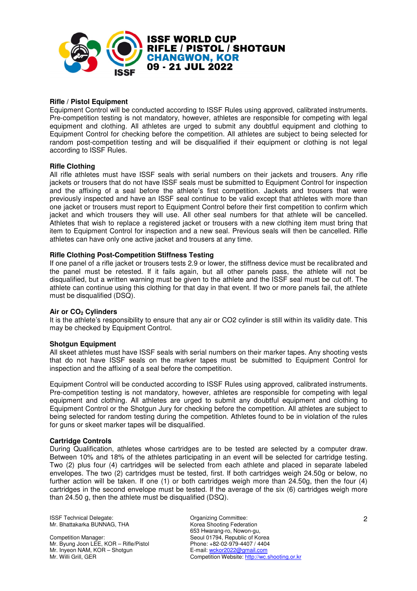

#### **Rifle / Pistol Equipment**

Equipment Control will be conducted according to ISSF Rules using approved, calibrated instruments. Pre-competition testing is not mandatory, however, athletes are responsible for competing with legal equipment and clothing. All athletes are urged to submit any doubtful equipment and clothing to Equipment Control for checking before the competition. All athletes are subject to being selected for random post-competition testing and will be disqualified if their equipment or clothing is not legal according to ISSF Rules.

#### **Rifle Clothing**

All rifle athletes must have ISSF seals with serial numbers on their jackets and trousers. Any rifle jackets or trousers that do not have ISSF seals must be submitted to Equipment Control for inspection and the affixing of a seal before the athlete's first competition. Jackets and trousers that were previously inspected and have an ISSF seal continue to be valid except that athletes with more than one jacket or trousers must report to Equipment Control before their first competition to confirm which jacket and which trousers they will use. All other seal numbers for that athlete will be cancelled. Athletes that wish to replace a registered jacket or trousers with a new clothing item must bring that item to Equipment Control for inspection and a new seal. Previous seals will then be cancelled. Rifle athletes can have only one active jacket and trousers at any time.

#### **Rifle Clothing Post-Competition Stiffness Testing**

If one panel of a rifle jacket or trousers tests 2.9 or lower, the stiffness device must be recalibrated and the panel must be retested. If it fails again, but all other panels pass, the athlete will not be disqualified, but a written warning must be given to the athlete and the ISSF seal must be cut off. The athlete can continue using this clothing for that day in that event. If two or more panels fail, the athlete must be disqualified (DSQ).

#### **Air or CO2 Cylinders**

It is the athlete's responsibility to ensure that any air or CO2 cylinder is still within its validity date. This may be checked by Equipment Control.

#### **Shotgun Equipment**

All skeet athletes must have ISSF seals with serial numbers on their marker tapes. Any shooting vests that do not have ISSF seals on the marker tapes must be submitted to Equipment Control for inspection and the affixing of a seal before the competition.

Equipment Control will be conducted according to ISSF Rules using approved, calibrated instruments. Pre-competition testing is not mandatory, however, athletes are responsible for competing with legal equipment and clothing. All athletes are urged to submit any doubtful equipment and clothing to Equipment Control or the Shotgun Jury for checking before the competition. All athletes are subject to being selected for random testing during the competition. Athletes found to be in violation of the rules for guns or skeet marker tapes will be disqualified.

#### **Cartridge Controls**

During Qualification, athletes whose cartridges are to be tested are selected by a computer draw. Between 10% and 18% of the athletes participating in an event will be selected for cartridge testing. Two (2) plus four (4) cartridges will be selected from each athlete and placed in separate labeled envelopes. The two (2) cartridges must be tested, first. If both cartridges weigh 24.50g or below, no further action will be taken. If one (1) or both cartridges weigh more than 24.50g, then the four (4) cartridges in the second envelope must be tested. If the average of the six (6) cartridges weigh more than 24.50 g, then the athlete must be disqualified (DSQ).

ISSF Technical Delegate: Committee: Committee: Mr. Bhattakarka BUNNAG, THA

Competition Manager: Mr. Byung Joon LEE, KOR – Rifle/Pistol Mr. Inyeon NAM, KOR – Shotgun Mr. Willi Grill, GER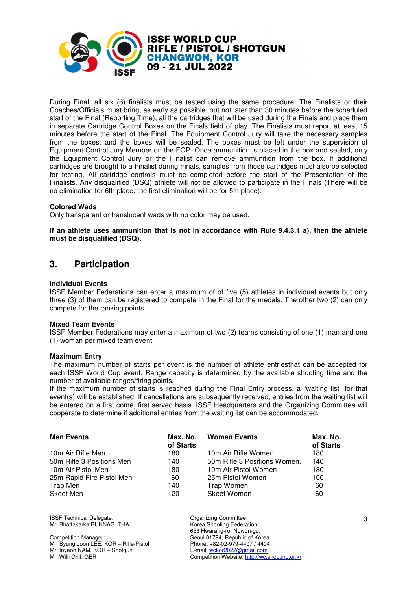

During Final, all six (6) finalists must be tested using the same procedure. The Finalists or their Coaches/Officials must bring, as early as possible, but not later than 30 minutes before the scheduled start of the Final (Reporting Time), all the cartridges that will be used during the Finals and place them in separate Cartridge Control Boxes on the Finals field of play. The Finalists must report at least 15 minutes before the start of the Final. The Equipment Control Jury will take the necessary samples from the boxes, and the boxes will be sealed. The boxes must be left under the supervision of Equipment Control Jury Member on the FOP. Once ammunition is placed in the box and sealed, only the Equipment Control Jury or the Finalist can remove ammunition from the box. If additional cartridges are brought to a Finalist during Finals, samples from those cartridges must also be selected for testing. All cartridge controls must be completed before the start of the Presentation of the Finalists. Any disqualified (DSQ) athlete will not be allowed to participate in the Finals (There will be no elimination for 6th place; the first elimination will be for 5th place).

#### **Colored Wads**

Only transparent or translucent wads with no color may be used.

**If an athlete uses ammunition that is not in accordance with Rule 9.4.3.1 a), then the athlete must be disqualified (DSQ).** 

# **3. Participation**

#### **Individual Events**

ISSF Member Federations can enter a maximum of of five (5) athletes in individual events but only three (3) of them can be registered to compete in the Final for the medals. The other two (2) can only compete for the ranking points.

#### **Mixed Team Events**

ISSF Member Federations may enter a maximum of two (2) teams consisting of one (1) man and one (1) woman per mixed team event.

#### **Maximum Entry**

The maximum number of starts per event is the number of athlete entriesthat can be accepted for each ISSF World Cup event. Range capacity is determined by the available shooting time and the number of available ranges/firing points.

If the maximum number of starts is reached during the Final Entry process, a "waiting list" for that event(s) will be established. If cancellations are subsequently received, entries from the waiting list will be entered on a first come, first served basis. ISSF Headquarters and the Organizing Committee will cooperate to determine if additional entries from the waiting list can be accommodated.

| <b>Men Events</b>         | Max. No.<br>of Starts | <b>Women Events</b>          | Max. No.<br>of Starts |
|---------------------------|-----------------------|------------------------------|-----------------------|
| 10m Air Rifle Men         | 180                   | 10m Air Rifle Women          | 180                   |
| 50m Rifle 3 Positions Men | 140                   | 50m Rifle 3 Positions Women. | 140                   |
| 10m Air Pistol Men        | 180                   | 10m Air Pistol Women         | 180                   |
| 25m Rapid Fire Pistol Men | 60                    | 25m Pistol Women             | 100                   |
| Trap Men                  | 140                   | Trap Women                   | 60                    |
| Skeet Men                 | 120                   | <b>Skeet Women</b>           | 60                    |

ISSF Technical Delegate: Committee: Committee: Mr. Bhattakarka BUNNAG, THA

Competition Manager: Mr. Byung Joon LEE, KOR – Rifle/Pistol Mr. Inyeon NAM, KOR – Shotgun Mr. Willi Grill, GER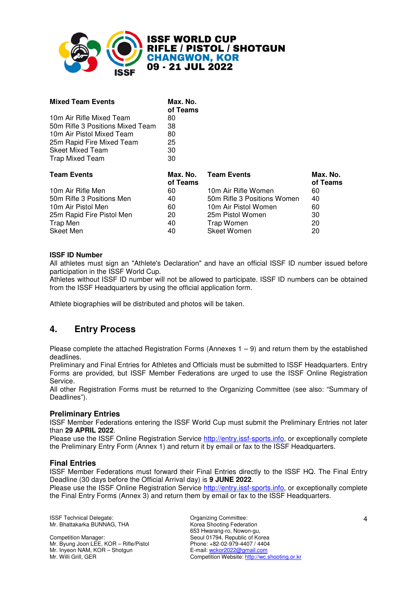

# **ISSF WORLD CUP<br>RIFLE / PISTOL / SHOTGUN CHANGWON. KOR** 09 - 21 JUL 2022

| <b>Mixed Team Events</b>         | Max. No.<br>of Teams |                             |                      |
|----------------------------------|----------------------|-----------------------------|----------------------|
| 10m Air Rifle Mixed Team         | 80                   |                             |                      |
| 50m Rifle 3 Positions Mixed Team | 38                   |                             |                      |
| 10m Air Pistol Mixed Team        | 80                   |                             |                      |
| 25m Rapid Fire Mixed Team        | 25                   |                             |                      |
| <b>Skeet Mixed Team</b>          | 30                   |                             |                      |
| <b>Trap Mixed Team</b>           | 30                   |                             |                      |
| <b>Team Events</b>               | Max. No.<br>of Teams | <b>Team Events</b>          | Max. No.<br>of Teams |
| 10m Air Rifle Men                | 60                   | 10m Air Rifle Women         | 60                   |
| 50m Rifle 3 Positions Men        | 40                   | 50m Rifle 3 Positions Women | 40                   |
| 10m Air Pistol Men               | 60                   | 10m Air Pistol Women        | 60                   |
| 25m Rapid Fire Pistol Men        | 20                   | 25m Pistol Women            | 30                   |
| Trap Men                         | 40                   | Trap Women                  | 20                   |
| Skeet Men                        | 40                   | <b>Skeet Women</b>          | 20                   |

#### **ISSF ID Number**

All athletes must sign an "Athlete's Declaration" and have an official ISSF ID number issued before participation in the ISSF World Cup.

Athletes without ISSF ID number will not be allowed to participate. ISSF ID numbers can be obtained from the ISSF Headquarters by using the official application form.

Athlete biographies will be distributed and photos will be taken.

# **4. Entry Process**

Please complete the attached Registration Forms (Annexes  $1 - 9$ ) and return them by the established deadlines.

Preliminary and Final Entries for Athletes and Officials must be submitted to ISSF Headquarters. Entry Forms are provided, but ISSF Member Federations are urged to use the ISSF Online Registration Service.

All other Registration Forms must be returned to the Organizing Committee (see also: "Summary of Deadlines").

#### **Preliminary Entries**

ISSF Member Federations entering the ISSF World Cup must submit the Preliminary Entries not later than **29 APRIL 2022**.

Please use the ISSF Online Registration Service http://entry.issf-sports.info, or exceptionally complete the Preliminary Entry Form (Annex 1) and return it by email or fax to the ISSF Headquarters.

#### **Final Entries**

ISSF Member Federations must forward their Final Entries directly to the ISSF HQ. The Final Entry Deadline (30 days before the Official Arrival day) is **9 JUNE 2022**.

Please use the ISSF Online Registration Service http://entry.issf-sports.info, or exceptionally complete the Final Entry Forms (Annex 3) and return them by email or fax to the ISSF Headquarters.

ISSF Technical Delegate: Committee: Committee: Mr. Bhattakarka BUNNAG, THA

Competition Manager: Mr. Byung Joon LEE, KOR – Rifle/Pistol Mr. Inyeon NAM, KOR – Shotgun Mr. Willi Grill, GER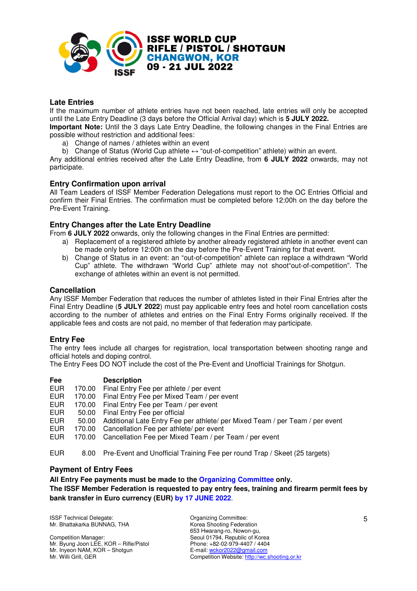

#### **Late Entries**

If the maximum number of athlete entries have not been reached, late entries will only be accepted until the Late Entry Deadline (3 days before the Official Arrival day) which is **5 JULY 2022.** 

**Important Note:** Until the 3 days Late Entry Deadline, the following changes in the Final Entries are possible without restriction and additional fees:

- a) Change of names / athletes within an event
- b) Change of Status (World Cup athlete  $\leftrightarrow$  "out-of-competition" athlete) within an event.

Any additional entries received after the Late Entry Deadline, from **6 JULY 2022** onwards, may not participate.

#### **Entry Confirmation upon arrival**

All Team Leaders of ISSF Member Federation Delegations must report to the OC Entries Official and confirm their Final Entries. The confirmation must be completed before 12:00h on the day before the Pre-Event Training.

#### **Entry Changes after the Late Entry Deadline**

From **6 JULY 2022** onwards, only the following changes in the Final Entries are permitted:

- a) Replacement of a registered athlete by another already registered athlete in another event can be made only before 12:00h on the day before the Pre-Event Training for that event.
- b) Change of Status in an event: an "out-of-competition" athlete can replace a withdrawn "World Cup" athlete. The withdrawn "World Cup" athlete may not shoot"out-of-competition". The exchange of athletes within an event is not permitted.

#### **Cancellation**

Any ISSF Member Federation that reduces the number of athletes listed in their Final Entries after the Final Entry Deadline (**5 JULY 2022**) must pay applicable entry fees and hotel room cancellation costs according to the number of athletes and entries on the Final Entry Forms originally received. If the applicable fees and costs are not paid, no member of that federation may participate.

#### **Entry Fee**

The entry fees include all charges for registration, local transportation between shooting range and official hotels and doping control.

The Entry Fees DO NOT include the cost of the Pre-Event and Unofficial Trainings for Shotgun.

| Fee        |        | <b>Description</b>                                                           |
|------------|--------|------------------------------------------------------------------------------|
| <b>EUR</b> | 170.00 | Final Entry Fee per athlete / per event                                      |
| <b>EUR</b> | 170.00 | Final Entry Fee per Mixed Team / per event                                   |
| <b>EUR</b> | 170.00 | Final Entry Fee per Team / per event                                         |
| EUR.       | 50.00  | Final Entry Fee per official                                                 |
| EUR.       | 50.00  | Additional Late Entry Fee per athlete/ per Mixed Team / per Team / per event |
| <b>EUR</b> | 170.00 | Cancellation Fee per athlete/ per event                                      |
| <b>EUR</b> |        | 170.00 Cancellation Fee per Mixed Team / per Team / per event                |
|            |        |                                                                              |

EUR 8.00 Pre-Event and Unofficial Training Fee per round Trap / Skeet (25 targets)

#### **Payment of Entry Fees**

#### **All Entry Fee payments must be made to the Organizing Committee only. The ISSF Member Federation is requested to pay entry fees, training and firearm permit fees by bank transfer in Euro currency (EUR) by 17 JUNE 2022**.

ISSF Technical Delegate: Committee: Committee: Mr. Bhattakarka BUNNAG, THA

Competition Manager: Mr. Byung Joon LEE, KOR – Rifle/Pistol Mr. Inyeon NAM, KOR – Shotgun Mr. Willi Grill, GER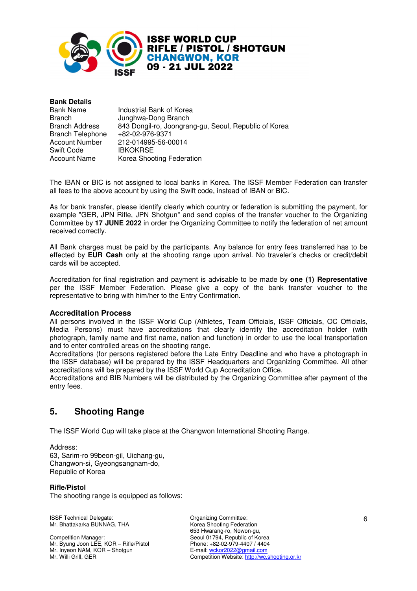

| <b>Bank Details</b>     |                                                       |
|-------------------------|-------------------------------------------------------|
| <b>Bank Name</b>        | Industrial Bank of Korea                              |
| <b>Branch</b>           | Junghwa-Dong Branch                                   |
| <b>Branch Address</b>   | 843 Dongil-ro, Joongrang-gu, Seoul, Republic of Korea |
| <b>Branch Telephone</b> | +82-02-976-9371                                       |
| <b>Account Number</b>   | 212-014995-56-00014                                   |
| Swift Code              | <b>IBKOKRSE</b>                                       |
| <b>Account Name</b>     | Korea Shooting Federation                             |

The IBAN or BIC is not assigned to local banks in Korea. The ISSF Member Federation can transfer all fees to the above account by using the Swift code, instead of IBAN or BIC.

As for bank transfer, please identify clearly which country or federation is submitting the payment, for example "GER, JPN Rifle, JPN Shotgun" and send copies of the transfer voucher to the Organizing Committee by **17 JUNE 2022** in order the Organizing Committee to notify the federation of net amount received correctly.

All Bank charges must be paid by the participants. Any balance for entry fees transferred has to be effected by **EUR Cash** only at the shooting range upon arrival. No traveler's checks or credit/debit cards will be accepted.

Accreditation for final registration and payment is advisable to be made by **one (1) Representative** per the ISSF Member Federation. Please give a copy of the bank transfer voucher to the representative to bring with him/her to the Entry Confirmation.

#### **Accreditation Process**

All persons involved in the ISSF World Cup (Athletes, Team Officials, ISSF Officials, OC Officials, Media Persons) must have accreditations that clearly identify the accreditation holder (with photograph, family name and first name, nation and function) in order to use the local transportation and to enter controlled areas on the shooting range.

Accreditations (for persons registered before the Late Entry Deadline and who have a photograph in the ISSF database) will be prepared by the ISSF Headquarters and Organizing Committee. All other accreditations will be prepared by the ISSF World Cup Accreditation Office.

Accreditations and BIB Numbers will be distributed by the Organizing Committee after payment of the entry fees.

# **5. Shooting Range**

The ISSF World Cup will take place at the Changwon International Shooting Range.

Address: 63, Sarim-ro 99beon-gil, Uichang-gu, Changwon-si, Gyeongsangnam-do, Republic of Korea

#### **Rifle/Pistol**

The shooting range is equipped as follows:

ISSF Technical Delegate: Committee: Committee: Mr. Bhattakarka BUNNAG, THA

Competition Manager: Mr. Byung Joon LEE, KOR – Rifle/Pistol Mr. Inyeon NAM, KOR – Shotgun Mr. Willi Grill, GER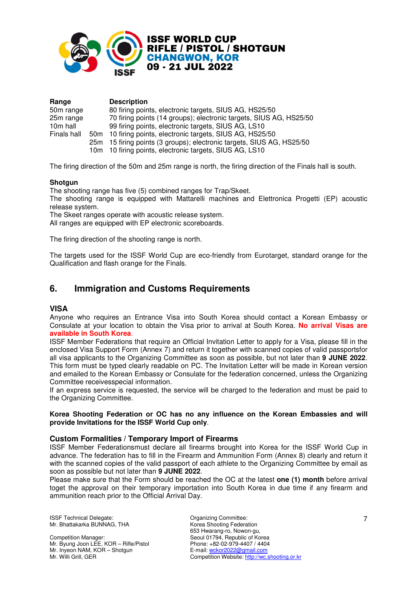

| Range       |     | <b>Description</b>                                                 |
|-------------|-----|--------------------------------------------------------------------|
| 50m range   |     | 80 firing points, electronic targets, SIUS AG, HS25/50             |
| 25m range   |     | 70 firing points (14 groups); electronic targets, SIUS AG, HS25/50 |
| 10m hall    |     | 99 firing points, electronic targets, SIUS AG, LS10                |
| Finals hall | 50m | 10 firing points, electronic targets, SIUS AG, HS25/50             |
|             | 25m | 15 firing points (3 groups); electronic targets, SIUS AG, HS25/50  |
|             |     | 10m 10 firing points, electronic targets, SIUS AG, LS10            |

The firing direction of the 50m and 25m range is north, the firing direction of the Finals hall is south.

#### **Shotgun**

The shooting range has five (5) combined ranges for Trap/Skeet.

The shooting range is equipped with Mattarelli machines and Elettronica Progetti (EP) acoustic release system.

The Skeet ranges operate with acoustic release system.

All ranges are equipped with EP electronic scoreboards.

The firing direction of the shooting range is north.

The targets used for the ISSF World Cup are eco-friendly from Eurotarget, standard orange for the Qualification and flash orange for the Finals.

# **6. Immigration and Customs Requirements**

#### **VISA**

Anyone who requires an Entrance Visa into South Korea should contact a Korean Embassy or Consulate at your location to obtain the Visa prior to arrival at South Korea. **No arrival Visas are available in South Korea**.

ISSF Member Federations that require an Official Invitation Letter to apply for a Visa, please fill in the enclosed Visa Support Form (Annex 7) and return it together with scanned copies of valid passportsfor all visa applicants to the Organizing Committee as soon as possible, but not later than **9 JUNE 2022**. This form must be typed clearly readable on PC. The Invitation Letter will be made in Korean version and emailed to the Korean Embassy or Consulate for the federation concerned, unless the Organizing Committee receivesspecial information.

If an express service is requested, the service will be charged to the federation and must be paid to the Organizing Committee.

#### **Korea Shooting Federation or OC has no any influence on the Korean Embassies and will provide Invitations for the ISSF World Cup only**.

#### **Custom Formalities / Temporary Import of Firearms**

ISSF Member Federationsmust declare all firearms brought into Korea for the ISSF World Cup in advance. The federation has to fill in the Firearm and Ammunition Form (Annex 8) clearly and return it with the scanned copies of the valid passport of each athlete to the Organizing Committee by email as soon as possible but not later than **9 JUNE 2022**.

Please make sure that the Form should be reached the OC at the latest **one (1) month** before arrival toget the approval on their temporary importation into South Korea in due time if any firearm and ammunition reach prior to the Official Arrival Day.

ISSF Technical Delegate: Committee: Committee: Mr. Bhattakarka BUNNAG, THA

Competition Manager: Mr. Byung Joon LEE, KOR – Rifle/Pistol Mr. Inyeon NAM, KOR – Shotgun Mr. Willi Grill, GER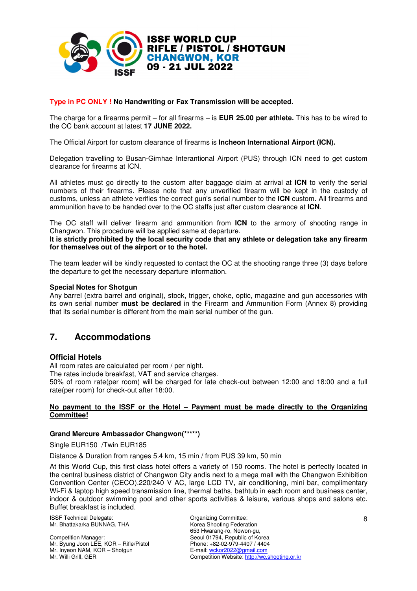

#### **Type in PC ONLY ! No Handwriting or Fax Transmission will be accepted.**

The charge for a firearms permit – for all firearms – is **EUR 25.00 per athlete.** This has to be wired to the OC bank account at latest **17 JUNE 2022.**

The Official Airport for custom clearance of firearms is **Incheon International Airport (ICN).** 

Delegation travelling to Busan-Gimhae Interantional Airport (PUS) through ICN need to get custom clearance for firearms at ICN.

All athletes must go directly to the custom after baggage claim at arrival at **ICN** to verify the serial numbers of their firearms. Please note that any unverified firearm will be kept in the custody of customs, unless an athlete verifies the correct gun's serial number to the **ICN** custom. All firearms and ammunition have to be handed over to the OC staffs just after custom clearance at **ICN**.

The OC staff will deliver firearm and ammunition from **ICN** to the armory of shooting range in Changwon. This procedure will be applied same at departure.

**It is strictly prohibited by the local security code that any athlete or delegation take any firearm for themselves out of the airport or to the hotel.**

The team leader will be kindly requested to contact the OC at the shooting range three (3) days before the departure to get the necessary departure information.

#### **Special Notes for Shotgun**

Any barrel (extra barrel and original), stock, trigger, choke, optic, magazine and gun accessories with its own serial number **must be declared** in the Firearm and Ammunition Form (Annex 8) providing that its serial number is different from the main serial number of the gun.

# **7. Accommodations**

#### **Official Hotels**

All room rates are calculated per room / per night.

The rates include breakfast, VAT and service charges.

50% of room rate(per room) will be charged for late check-out between 12:00 and 18:00 and a full rate(per room) for check-out after 18:00.

#### **No payment to the ISSF or the Hotel – Payment must be made directly to the Organizing Committee!**

#### **Grand Mercure Ambassador Changwon(\*\*\*\*\*)**

Single EUR150 /Twin EUR185

Distance & Duration from ranges 5.4 km, 15 min / from PUS 39 km, 50 min

At this World Cup, this first class hotel offers a variety of 150 rooms. The hotel is perfectly located in the central business district of Changwon City andis next to a mega mall with the Changwon Exhibition Convention Center (CECO).220/240 V AC, large LCD TV, air conditioning, mini bar, complimentary Wi-Fi & laptop high speed transmission line, thermal baths, bathtub in each room and business center, indoor & outdoor swimming pool and other sports activities & leisure, various shops and salons etc. Buffet breakfast is included.

ISSF Technical Delegate: Committee: Committee: Mr. Bhattakarka BUNNAG, THA

Competition Manager: Mr. Byung Joon LEE, KOR – Rifle/Pistol Mr. Inyeon NAM, KOR – Shotgun Mr. Willi Grill, GER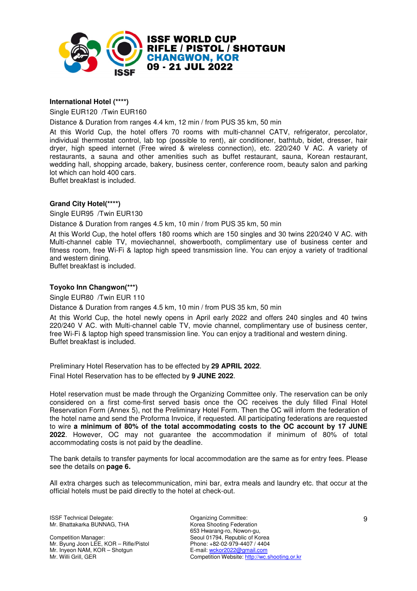

#### **International Hotel (\*\*\*\*)**

Single EUR120 /Twin EUR160

Distance & Duration from ranges 4.4 km, 12 min / from PUS 35 km, 50 min

At this World Cup, the hotel offers 70 rooms with multi-channel CATV, refrigerator, percolator, individual thermostat control, lab top (possible to rent), air conditioner, bathtub, bidet, dresser, hair dryer, high speed internet (Free wired & wireless connection), etc. 220/240 V AC. A variety of restaurants, a sauna and other amenities such as buffet restaurant, sauna, Korean restaurant, wedding hall, shopping arcade, bakery, business center, conference room, beauty salon and parking lot which can hold 400 cars.

Buffet breakfast is included.

#### **Grand City Hotel(\*\*\*\*)**

Single EUR95 /Twin EUR130

Distance & Duration from ranges 4.5 km, 10 min / from PUS 35 km, 50 min

At this World Cup, the hotel offers 180 rooms which are 150 singles and 30 twins 220/240 V AC. with Multi-channel cable TV, moviechannel, showerbooth, complimentary use of business center and fitness room, free Wi-Fi & laptop high speed transmission line. You can enjoy a variety of traditional and western dining.

Buffet breakfast is included.

#### **Toyoko Inn Changwon(\*\*\*)**

Single EUR80 /Twin EUR 110

Distance & Duration from ranges 4.5 km, 10 min / from PUS 35 km, 50 min

At this World Cup, the hotel newly opens in April early 2022 and offers 240 singles and 40 twins 220/240 V AC. with Multi-channel cable TV, movie channel, complimentary use of business center, free Wi-Fi & laptop high speed transmission line. You can enjoy a traditional and western dining. Buffet breakfast is included.

Preliminary Hotel Reservation has to be effected by **29 APRIL 2022**. Final Hotel Reservation has to be effected by **9 JUNE 2022**.

Hotel reservation must be made through the Organizing Committee only. The reservation can be only considered on a first come-first served basis once the OC receives the duly filled Final Hotel Reservation Form (Annex 5), not the Preliminary Hotel Form. Then the OC will inform the federation of the hotel name and send the Proforma Invoice, if requested. All participating federations are requested to wire **a minimum of 80% of the total accommodating costs to the OC account by 17 JUNE 2022**. However, OC may not guarantee the accommodation if minimum of 80% of total accommodating costs is not paid by the deadline.

The bank details to transfer payments for local accommodation are the same as for entry fees. Please see the details on **page 6.** 

All extra charges such as telecommunication, mini bar, extra meals and laundry etc. that occur at the official hotels must be paid directly to the hotel at check-out.

ISSF Technical Delegate: Committee: Committee: Mr. Bhattakarka BUNNAG, THA

Competition Manager: Mr. Byung Joon LEE, KOR – Rifle/Pistol Mr. Inyeon NAM, KOR – Shotgun Mr. Willi Grill, GER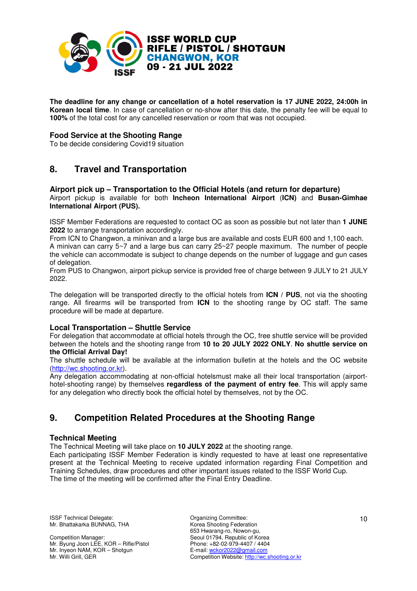

**The deadline for any change or cancellation of a hotel reservation is 17 JUNE 2022, 24:00h in Korean local time**. In case of cancellation or no-show after this date, the penalty fee will be equal to **100%** of the total cost for any cancelled reservation or room that was not occupied.

#### **Food Service at the Shooting Range**

To be decide considering Covid19 situation

# **8. Travel and Transportation**

#### **Airport pick up – Transportation to the Official Hotels (and return for departure)**  Airport pickup is available for both **Incheon International Airport** (**ICN)** and **Busan-Gimhae International Airport (PUS).**

ISSF Member Federations are requested to contact OC as soon as possible but not later than **1 JUNE 2022** to arrange transportation accordingly.

From ICN to Changwon, a minivan and a large bus are available and costs EUR 600 and 1,100 each.

A minivan can carry 5~7 and a large bus can carry 25~27 people maximum. The number of people the vehicle can accommodate is subject to change depends on the number of luggage and gun cases of delegation.

From PUS to Changwon, airport pickup service is provided free of charge between 9 JULY to 21 JULY 2022.

The delegation will be transported directly to the official hotels from **ICN / PUS**, not via the shooting range. All firearms will be transported from **ICN** to the shooting range by OC staff. The same procedure will be made at departure.

#### **Local Transportation – Shuttle Service**

For delegation that accommodate at official hotels through the OC, free shuttle service will be provided between the hotels and the shooting range from **10 to 20 JULY 2022 ONLY**. **No shuttle service on the Official Arrival Day!**

The shuttle schedule will be available at the information bulletin at the hotels and the OC website (http://wc.shooting.or.kr).

Any delegation accommodating at non-official hotelsmust make all their local transportation (airporthotel-shooting range) by themselves **regardless of the payment of entry fee**. This will apply same for any delegation who directly book the official hotel by themselves, not by the OC.

# **9. Competition Related Procedures at the Shooting Range**

#### **Technical Meeting**

The Technical Meeting will take place on **10 JULY 2022** at the shooting range.

Each participating ISSF Member Federation is kindly requested to have at least one representative present at the Technical Meeting to receive updated information regarding Final Competition and Training Schedules, draw procedures and other important issues related to the ISSF World Cup. The time of the meeting will be confirmed after the Final Entry Deadline.

ISSF Technical Delegate: Committee: Committee: Mr. Bhattakarka BUNNAG, THA

Competition Manager: Mr. Byung Joon LEE, KOR – Rifle/Pistol Mr. Inyeon NAM, KOR – Shotgun Mr. Willi Grill, GER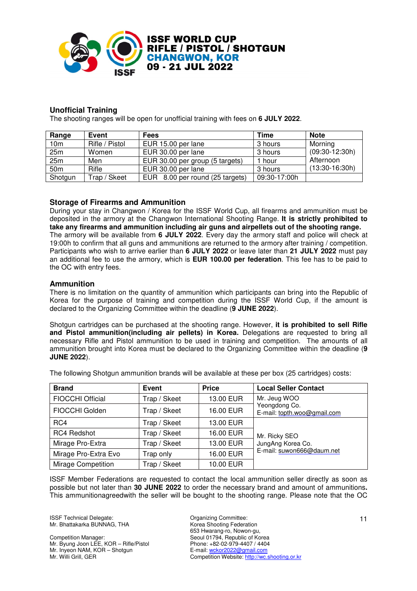

#### **Unofficial Training**

The shooting ranges will be open for unofficial training with fees on **6 JULY 2022**.

| Range           | Event          | <b>Fees</b>                     | Time         | <b>Note</b>      |
|-----------------|----------------|---------------------------------|--------------|------------------|
| 10 <sub>m</sub> | Rifle / Pistol | EUR 15.00 per lane              | 3 hours      | Morning          |
| 25m             | Women          | EUR 30.00 per lane              | 3 hours      | $(09:30-12:30h)$ |
| 25m             | Men            | EUR 30.00 per group (5 targets) | 1 hour       | Afternoon        |
| 50 <sub>m</sub> | Rifle          | EUR 30.00 per lane              | 3 hours      | $(13:30-16:30h)$ |
| Shotgun         | Trap / Skeet   | EUR 8.00 per round (25 targets) | 09:30-17:00h |                  |

#### **Storage of Firearms and Ammunition**

During your stay in Changwon / Korea for the ISSF World Cup, all firearms and ammunition must be deposited in the armory at the Changwon International Shooting Range. **It is strictly prohibited to take any firearms and ammunition including air guns and airpellets out of the shooting range.** The armory will be available from **6 JULY 2022**. Every day the armory staff and police will check at 19:00h to confirm that all guns and ammunitions are returned to the armory after training / competition. Participants who wish to arrive earlier than **6 JULY 2022** or leave later than **21 JULY 2022** must pay an additional fee to use the armory, which is **EUR 100.00 per federation**. This fee has to be paid to the OC with entry fees.

#### **Ammunition**

There is no limitation on the quantity of ammunition which participants can bring into the Republic of Korea for the purpose of training and competition during the ISSF World Cup, if the amount is declared to the Organizing Committee within the deadline (**9 JUNE 2022**).

Shotgun cartridges can be purchased at the shooting range. However, **it is prohibited to sell Rifle and Pistol ammunition(including air pellets) in Korea.** Delegations are requested to bring all necessary Rifle and Pistol ammunition to be used in training and competition. The amounts of all ammunition brought into Korea must be declared to the Organizing Committee within the deadline (**9 JUNE 2022**).

The following Shotgun ammunition brands will be available at these per box (25 cartridges) costs:

| <b>Brand</b>              | <b>Event</b> | <b>Price</b> | <b>Local Seller Contact</b>                  |  |
|---------------------------|--------------|--------------|----------------------------------------------|--|
| <b>FIOCCHI Official</b>   | Trap / Skeet | 13.00 EUR    | Mr. Jeug WOO                                 |  |
| FIOCCHI Golden            | Trap / Skeet | 16.00 EUR    | Yeongdong Co.<br>E-mail: topth.woo@gmail.com |  |
| RC4                       | Trap / Skeet | 13.00 EUR    |                                              |  |
| <b>RC4 Redshot</b>        | Trap / Skeet | 16.00 EUR    | Mr. Ricky SEO                                |  |
| Mirage Pro-Extra          | Trap / Skeet | 13.00 EUR    | JungAng Korea Co.                            |  |
| Mirage Pro-Extra Evo      | Trap only    | 16.00 EUR    | E-mail: suwon666@daum.net                    |  |
| <b>Mirage Competition</b> | Trap / Skeet | 10.00 EUR    |                                              |  |

ISSF Member Federations are requested to contact the local ammunition seller directly as soon as possible but not later than **30 JUNE 2022** to order the necessary brand and amount of ammunitions**.**  This ammunitionagreedwith the seller will be bought to the shooting range. Please note that the OC

ISSF Technical Delegate: Committee: Committee: Mr. Bhattakarka BUNNAG, THA

Competition Manager: Mr. Byung Joon LEE, KOR – Rifle/Pistol Mr. Inyeon NAM, KOR – Shotgun Mr. Willi Grill, GER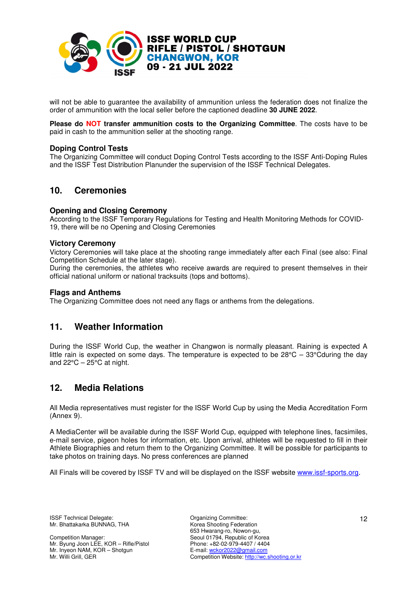

will not be able to guarantee the availability of ammunition unless the federation does not finalize the order of ammunition with the local seller before the captioned deadline **30 JUNE 2022**.

**Please do NOT transfer ammunition costs to the Organizing Committee**. The costs have to be paid in cash to the ammunition seller at the shooting range.

#### **Doping Control Tests**

The Organizing Committee will conduct Doping Control Tests according to the ISSF Anti-Doping Rules and the ISSF Test Distribution Planunder the supervision of the ISSF Technical Delegates.

# **10. Ceremonies**

#### **Opening and Closing Ceremony**

According to the ISSF Temporary Regulations for Testing and Health Monitoring Methods for COVID-19, there will be no Opening and Closing Ceremonies

#### **Victory Ceremony**

Victory Ceremonies will take place at the shooting range immediately after each Final (see also: Final Competition Schedule at the later stage).

During the ceremonies, the athletes who receive awards are required to present themselves in their official national uniform or national tracksuits (tops and bottoms).

#### **Flags and Anthems**

The Organizing Committee does not need any flags or anthems from the delegations.

# **11. Weather Information**

During the ISSF World Cup, the weather in Changwon is normally pleasant. Raining is expected A little rain is expected on some days. The temperature is expected to be  $28^{\circ}$ C –  $33^{\circ}$ Cduring the day and  $22^{\circ}$ C –  $25^{\circ}$ C at night.

# **12. Media Relations**

All Media representatives must register for the ISSF World Cup by using the Media Accreditation Form (Annex 9).

A MediaCenter will be available during the ISSF World Cup, equipped with telephone lines, facsimiles, e-mail service, pigeon holes for information, etc. Upon arrival, athletes will be requested to fill in their Athlete Biographies and return them to the Organizing Committee. It will be possible for participants to take photos on training days. No press conferences are planned

All Finals will be covered by ISSF TV and will be displayed on the ISSF website www.issf-sports.org.

Competition Manager: Mr. Byung Joon LEE, KOR – Rifle/Pistol Mr. Inyeon NAM, KOR – Shotgun Mr. Willi Grill, GER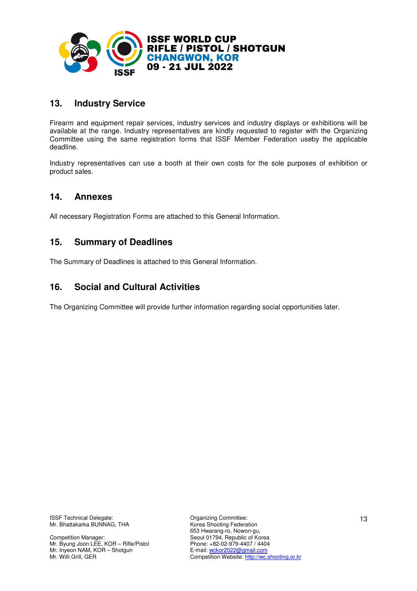

# **13. Industry Service**

Firearm and equipment repair services, industry services and industry displays or exhibitions will be available at the range. Industry representatives are kindly requested to register with the Organizing Committee using the same registration forms that ISSF Member Federation useby the applicable deadline.

Industry representatives can use a booth at their own costs for the sole purposes of exhibition or product sales.

# **14. Annexes**

All necessary Registration Forms are attached to this General Information.

# **15. Summary of Deadlines**

The Summary of Deadlines is attached to this General Information.

# **16. Social and Cultural Activities**

The Organizing Committee will provide further information regarding social opportunities later.

Competition Manager: Mr. Byung Joon LEE, KOR – Rifle/Pistol Mr. Inyeon NAM, KOR – Shotgun Mr. Willi Grill, GER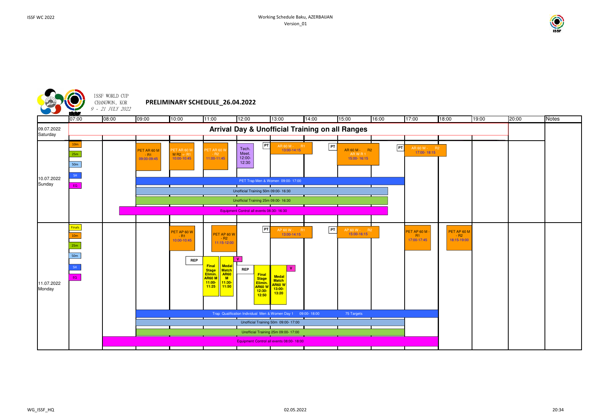

| $\overline{00}$     | 19:00 | 20:00 | Notes |
|---------------------|-------|-------|-------|
|                     |       |       |       |
|                     |       |       |       |
|                     |       |       |       |
|                     |       |       |       |
|                     |       |       |       |
|                     |       |       |       |
|                     |       |       |       |
|                     |       |       |       |
|                     |       |       |       |
|                     |       |       |       |
| PET AP 60 M         |       |       |       |
| $R2$<br>18:15-19:00 |       |       |       |
|                     |       |       |       |
|                     |       |       |       |
|                     |       |       |       |
|                     |       |       |       |
|                     |       |       |       |
|                     |       |       |       |
|                     |       |       |       |
|                     |       |       |       |
|                     |       |       |       |
|                     |       |       |       |
|                     |       |       |       |

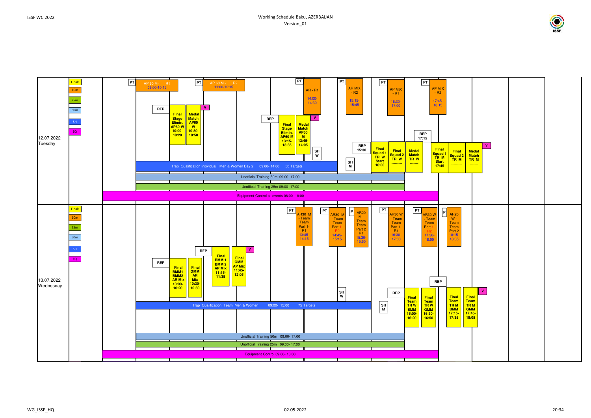

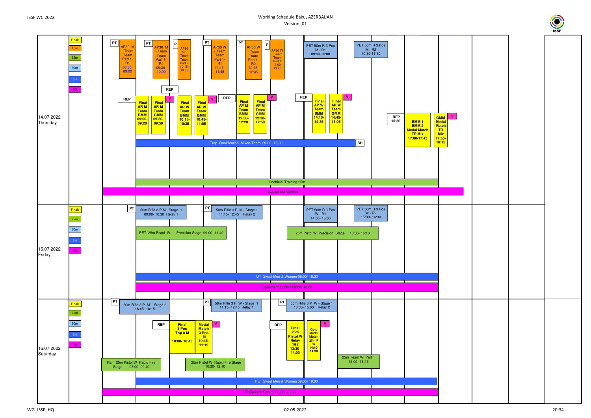#### Working Schedule Baku, AZERBAIJANVersion\_01



| V |  |  |
|---|--|--|
|   |  |  |
|   |  |  |

WG\_ISSF\_HQ

 $02.05.2022$   $20.34$ 

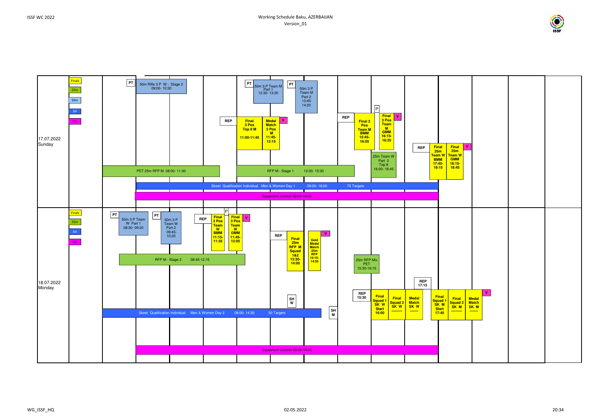